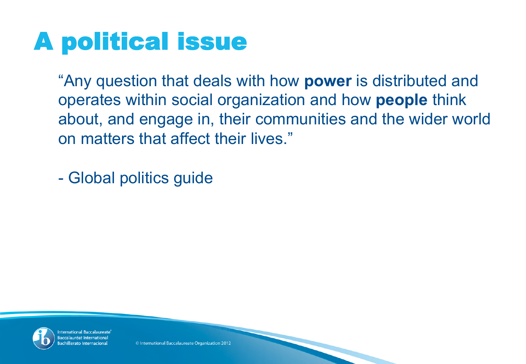#### A political issue

"Any question that deals with how **power** is distributed and operates within social organization and how **people** think about, and engage in, their communities and the wider world on matters that affect their lives."

- Global politics guide



nternational Baccalaureate Baccalauréat Internation chillerato Internacion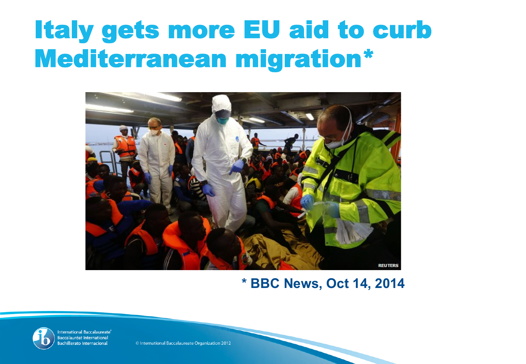#### Italy gets more EU aid to curb Mediterranean migration\*



#### **\* BBC News, Oct 14, 2014**



International Baccalaureate® Baccalauréat International Bachillerato Internacional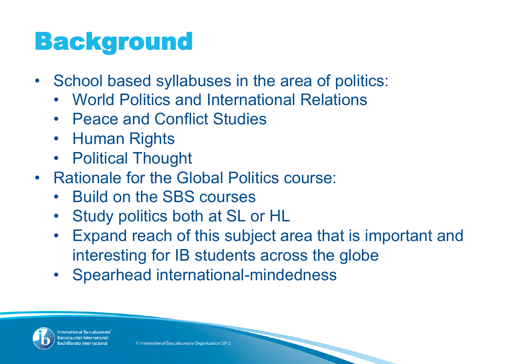#### **Background**

- School based syllabuses in the area of politics:
	- World Politics and International Relations
	- Peace and Conflict Studies
	- Human Rights
	- Political Thought
- Rationale for the Global Politics course:
	- Build on the SBS courses
	- Study politics both at SL or HL
	- Expand reach of this subject area that is important and interesting for IB students across the globe
	- Spearhead international-mindedness



nternational Baccalaureate Baccalauréat Internation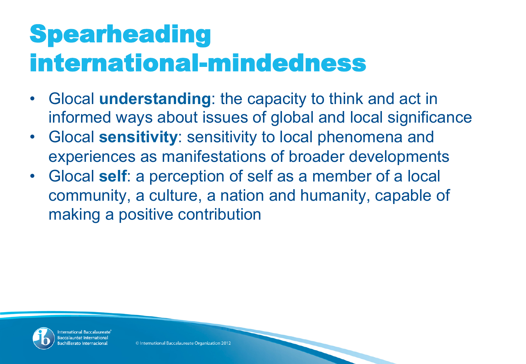### **Spearheading** international-mindedness

- Glocal **understanding**: the capacity to think and act in informed ways about issues of global and local significance
- Glocal **sensitivity**: sensitivity to local phenomena and experiences as manifestations of broader developments
- Glocal **self**: a perception of self as a member of a local community, a culture, a nation and humanity, capable of making a positive contribution



nternational Baccalaureate accalauréat Internation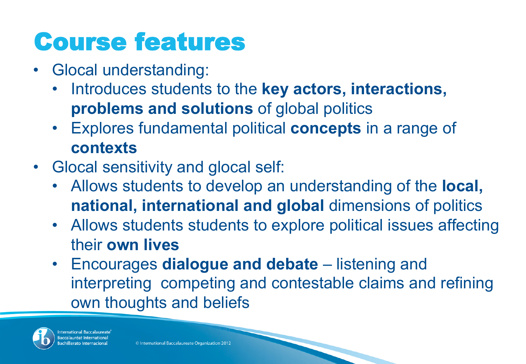## Course features

- Glocal understanding:
	- Introduces students to the **key actors, interactions, problems and solutions** of global politics
	- Explores fundamental political **concepts** in a range of **contexts**
- Glocal sensitivity and glocal self:
	- Allows students to develop an understanding of the **local, national, international and global** dimensions of politics
	- Allows students students to explore political issues affecting their **own lives**
	- Encourages **dialogue and debate** listening and interpreting competing and contestable claims and refining own thoughts and beliefs



nternational Baccalaureate Baccalauréat Internation chillerato Internacior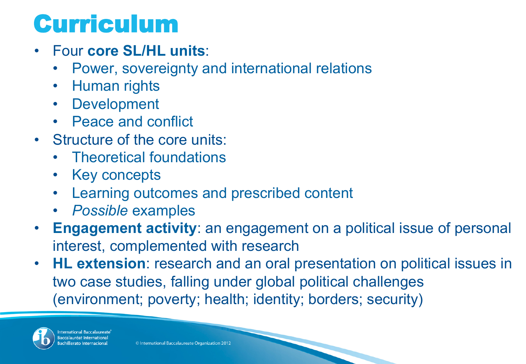#### Curriculum

- Four **core SL/HL units**:
	- Power, sovereignty and international relations
	- Human rights
	- Development
	- Peace and conflict
- Structure of the core units:
	- Theoretical foundations
	- Key concepts
	- Learning outcomes and prescribed content
	- *Possible* examples
- **Engagement activity**: an engagement on a political issue of personal interest, complemented with research
- **HL extension**: research and an oral presentation on political issues in two case studies, falling under global political challenges (environment; poverty; health; identity; borders; security)



International Baccalaureate **Baccalauréat Internation** chillerato Internacior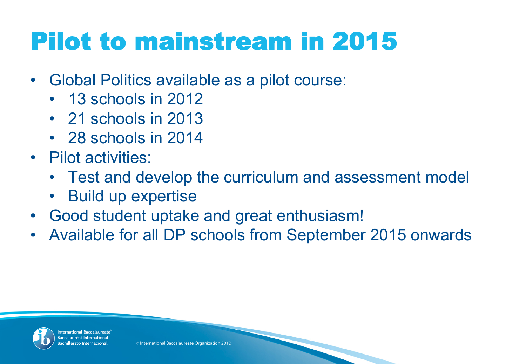# Pilot to mainstream in 2015

- Global Politics available as a pilot course:
	- 13 schools in 2012
	- 21 schools in 2013
	- 28 schools in 2014
- Pilot activities:
	- Test and develop the curriculum and assessment model
	- Build up expertise
- Good student uptake and great enthusiasm!
- Available for all DP schools from September 2015 onwards



nternational Baccalaureate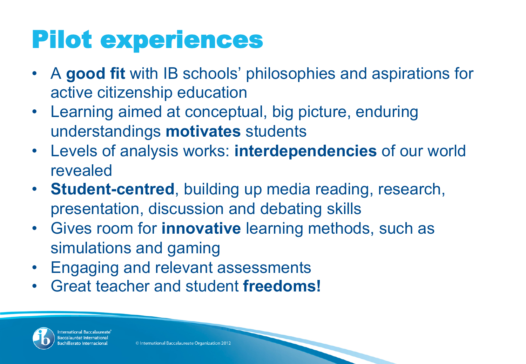## Pilot experiences

- A **good fit** with IB schools' philosophies and aspirations for active citizenship education
- Learning aimed at conceptual, big picture, enduring understandings **motivates** students
- Levels of analysis works: **interdependencies** of our world revealed
- **Student-centred**, building up media reading, research, presentation, discussion and debating skills
- Gives room for **innovative** learning methods, such as simulations and gaming
- Engaging and relevant assessments
- Great teacher and student **freedoms!**



nternational Baccalaureat Baccalauréat Internatio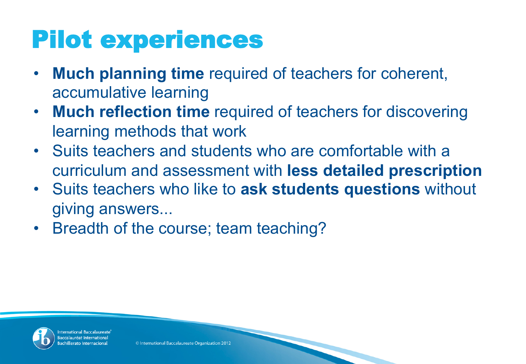# Pilot experiences

- **Much planning time** required of teachers for coherent, accumulative learning
- **Much reflection time** required of teachers for discovering learning methods that work
- Suits teachers and students who are comfortable with a curriculum and assessment with **less detailed prescription**
- Suits teachers who like to **ask students questions** without giving answers...
- Breadth of the course; team teaching?



nternational Baccalaureate Baccalauréat Internation chillerato Internacio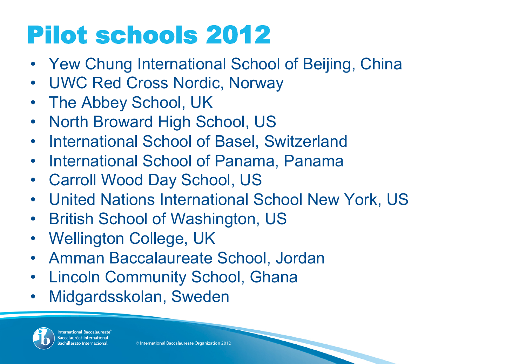# Pilot schools 2012

- Yew Chung International School of Beijing, China
- UWC Red Cross Nordic, Norway
- The Abbey School, UK
- North Broward High School, US
- International School of Basel, Switzerland
- International School of Panama, Panama
- Carroll Wood Day School, US
- United Nations International School New York, US
- British School of Washington, US
- Wellington College, UK
- Amman Baccalaureate School, Jordan
- Lincoln Community School, Ghana
- Midgardsskolan, Sweden



International Baccalaureate Baccalauréat Internation Bachillerato Internacior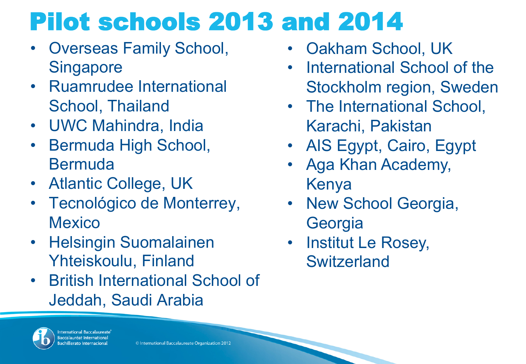# Pilot schools 2013 and 2014

- Overseas Family School, **Singapore**
- Ruamrudee International School, Thailand
- UWC Mahindra, India
- Bermuda High School, **Bermuda**
- Atlantic College, UK
- Tecnológico de Monterrey, **Mexico**
- Helsingin Suomalainen Yhteiskoulu, Finland
- British International School of Jeddah, Saudi Arabia
- 

International Baccalaureate **Baccalauréat Internation** 

- Oakham School, UK
- International School of the Stockholm region, Sweden
- The International School, Karachi, Pakistan
- AIS Egypt, Cairo, Egypt
- Aga Khan Academy, Kenya
- New School Georgia, **Georgia**
- **Institut Le Rosey, Switzerland**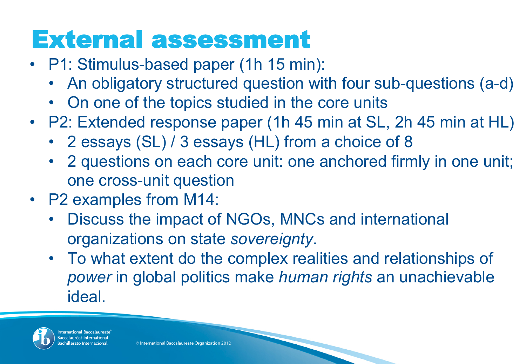#### External assessment

- P1: Stimulus-based paper (1h 15 min):
	- An obligatory structured question with four sub-questions (a-d)
	- On one of the topics studied in the core units
- P2: Extended response paper (1h 45 min at SL, 2h 45 min at HL)
	- 2 essays (SL) / 3 essays (HL) from a choice of 8
	- 2 questions on each core unit: one anchored firmly in one unit; one cross-unit question
- P2 examples from M14:
	- Discuss the impact of NGOs, MNCs and international organizations on state *sovereignty*.
	- To what extent do the complex realities and relationships of *power* in global politics make *human rights* an unachievable ideal.



nternational Baccalaureat Baccalauréat Internation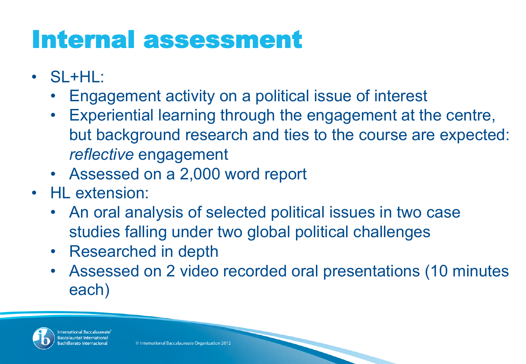#### Internal assessment

- SL+HL:
	- Engagement activity on a political issue of interest
	- Experiential learning through the engagement at the centre, but background research and ties to the course are expected: *reflective* engagement
	- Assessed on a 2,000 word report
- HL extension:
	- An oral analysis of selected political issues in two case studies falling under two global political challenges
	- Researched in depth
	- Assessed on 2 video recorded oral presentations (10 minutes each)



nternational Baccalaureat accalauréat Internati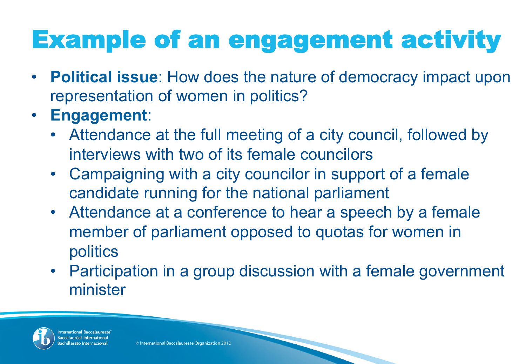# Example of an engagement activity

- **Political issue**: How does the nature of democracy impact upon representation of women in politics?
- **Engagement**:
	- Attendance at the full meeting of a city council, followed by interviews with two of its female councilors
	- Campaigning with a city councilor in support of a female candidate running for the national parliament
	- Attendance at a conference to hear a speech by a female member of parliament opposed to quotas for women in politics
	- Participation in a group discussion with a female government minister



ternational Baccalaure: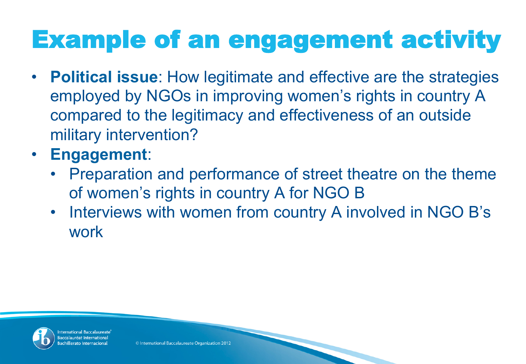# Example of an engagement activity

- **Political issue**: How legitimate and effective are the strategies employed by NGOs in improving women's rights in country A compared to the legitimacy and effectiveness of an outside military intervention?
- **Engagement**:
	- Preparation and performance of street theatre on the theme of women's rights in country A for NGO B
	- Interviews with women from country A involved in NGO B's work



nternational Baccalaureat accalauréat Internati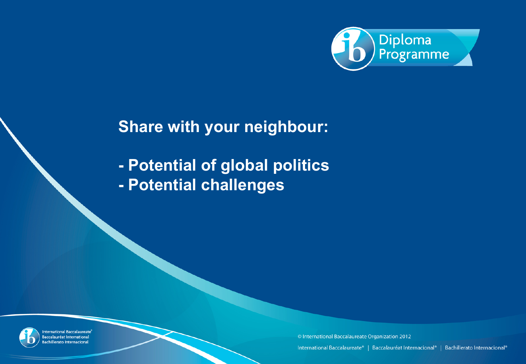

#### **Share with your neighbour:**

**- Potential of global politics - Potential challenges** 



International Baccalaureate® **Baccalauréat International** Bachillerato Internacional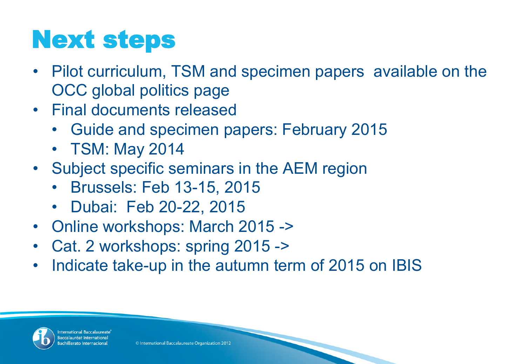# Next steps

- Pilot curriculum, TSM and specimen papers available on the OCC global politics page
- Final documents released
	- Guide and specimen papers: February 2015
	- TSM: May 2014
- Subject specific seminars in the AEM region
	- Brussels: Feb 13-15, 2015
	- Dubai: Feb 20-22, 2015
- Online workshops: March 2015 ->
- Cat. 2 workshops: spring 2015 ->
- Indicate take-up in the autumn term of 2015 on IBIS



nternational Baccalaureate accalauréat Internation